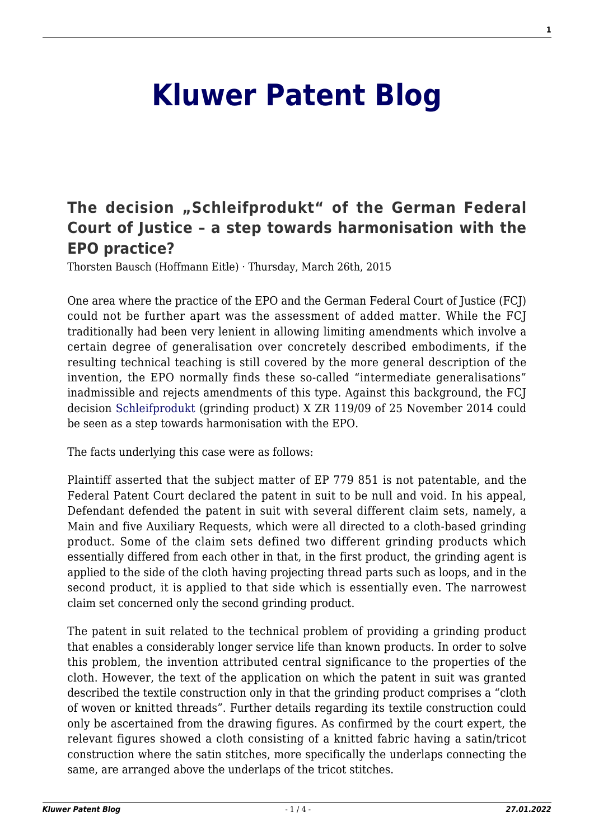## **[Kluwer Patent Blog](http://patentblog.kluweriplaw.com/)**

## [The decision "Schleifprodukt" of the German Federal](http://patentblog.kluweriplaw.com/2015/03/26/the-decision-schleifprodukt-of-the-german-federal-court-of-justice-a-step-towards-harmonisation-with-the-epo-practice/) **[Court of Justice – a step towards harmonisation with the](http://patentblog.kluweriplaw.com/2015/03/26/the-decision-schleifprodukt-of-the-german-federal-court-of-justice-a-step-towards-harmonisation-with-the-epo-practice/) [EPO practice?](http://patentblog.kluweriplaw.com/2015/03/26/the-decision-schleifprodukt-of-the-german-federal-court-of-justice-a-step-towards-harmonisation-with-the-epo-practice/)**

Thorsten Bausch (Hoffmann Eitle) · Thursday, March 26th, 2015

One area where the practice of the EPO and the German Federal Court of Justice (FCJ) could not be further apart was the assessment of added matter. While the FCJ traditionally had been very lenient in allowing limiting amendments which involve a certain degree of generalisation over concretely described embodiments, if the resulting technical teaching is still covered by the more general description of the invention, the EPO normally finds these so-called "intermediate generalisations" inadmissible and rejects amendments of this type. Against this background, the FCJ decision [Schleifprodukt](http://juris.bundesgerichtshof.de/cgi-bin/rechtsprechung/document.py?Gericht=bgh&Art=en&sid=aa5e431651e7567729cc501a99237e80&nr=70125&pos=0&anz=3&Blank=1.pdf) (grinding product) X ZR 119/09 of 25 November 2014 could be seen as a step towards harmonisation with the EPO.

The facts underlying this case were as follows:

Plaintiff asserted that the subject matter of EP 779 851 is not patentable, and the Federal Patent Court declared the patent in suit to be null and void. In his appeal, Defendant defended the patent in suit with several different claim sets, namely, a Main and five Auxiliary Requests, which were all directed to a cloth-based grinding product. Some of the claim sets defined two different grinding products which essentially differed from each other in that, in the first product, the grinding agent is applied to the side of the cloth having projecting thread parts such as loops, and in the second product, it is applied to that side which is essentially even. The narrowest claim set concerned only the second grinding product.

The patent in suit related to the technical problem of providing a grinding product that enables a considerably longer service life than known products. In order to solve this problem, the invention attributed central significance to the properties of the cloth. However, the text of the application on which the patent in suit was granted described the textile construction only in that the grinding product comprises a "cloth of woven or knitted threads". Further details regarding its textile construction could only be ascertained from the drawing figures. As confirmed by the court expert, the relevant figures showed a cloth consisting of a knitted fabric having a satin/tricot construction where the satin stitches, more specifically the underlaps connecting the same, are arranged above the underlaps of the tricot stitches.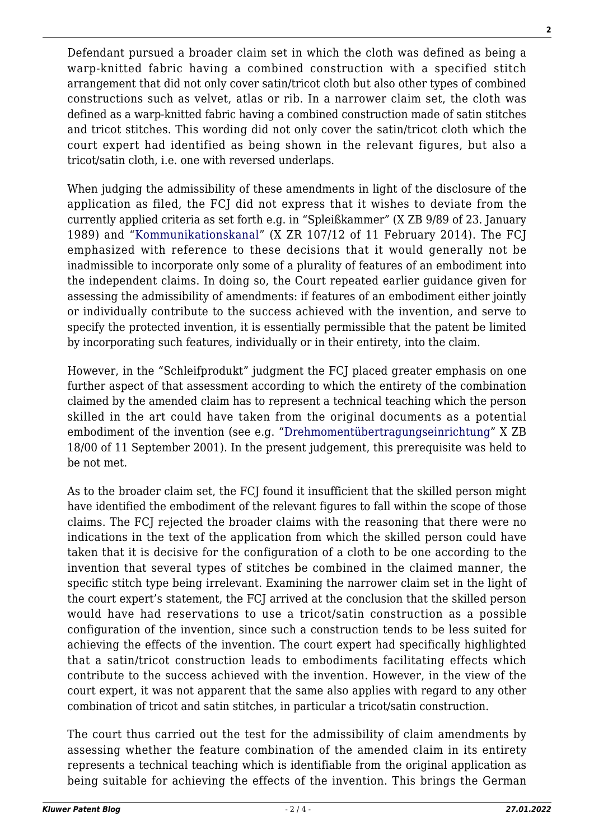Defendant pursued a broader claim set in which the cloth was defined as being a warp-knitted fabric having a combined construction with a specified stitch arrangement that did not only cover satin/tricot cloth but also other types of combined constructions such as velvet, atlas or rib. In a narrower claim set, the cloth was defined as a warp-knitted fabric having a combined construction made of satin stitches and tricot stitches. This wording did not only cover the satin/tricot cloth which the court expert had identified as being shown in the relevant figures, but also a tricot/satin cloth, i.e. one with reversed underlaps.

When judging the admissibility of these amendments in light of the disclosure of the application as filed, the FCJ did not express that it wishes to deviate from the currently applied criteria as set forth e.g. in "Spleißkammer" (X ZB 9/89 of 23. January 1989) and "[Kommunikationskanal"](http://juris.bundesgerichtshof.de/cgi-bin/rechtsprechung/list.py?Gericht=bgh&Art=en&sid=e1f01033896b6d5236c1398b57ca08b2) (X ZR 107/12 of 11 February 2014). The FCJ emphasized with reference to these decisions that it would generally not be inadmissible to incorporate only some of a plurality of features of an embodiment into the independent claims. In doing so, the Court repeated earlier guidance given for assessing the admissibility of amendments: if features of an embodiment either jointly or individually contribute to the success achieved with the invention, and serve to specify the protected invention, it is essentially permissible that the patent be limited by incorporating such features, individually or in their entirety, into the claim.

However, in the "Schleifprodukt" judgment the FCJ placed greater emphasis on one further aspect of that assessment according to which the entirety of the combination claimed by the amended claim has to represent a technical teaching which the person skilled in the art could have taken from the original documents as a potential embodiment of the invention (see e.g. "[Drehmomentübertragungseinrichtung"](http://juris.bundesgerichtshof.de/cgi-bin/rechtsprechung/list.py?Gericht=bgh&Art=en&sid=00c02853db41fe0ef111b0f8eb3e25ae) X ZB 18/00 of 11 September 2001). In the present judgement, this prerequisite was held to be not met.

As to the broader claim set, the FCJ found it insufficient that the skilled person might have identified the embodiment of the relevant figures to fall within the scope of those claims. The FCJ rejected the broader claims with the reasoning that there were no indications in the text of the application from which the skilled person could have taken that it is decisive for the configuration of a cloth to be one according to the invention that several types of stitches be combined in the claimed manner, the specific stitch type being irrelevant. Examining the narrower claim set in the light of the court expert's statement, the FCJ arrived at the conclusion that the skilled person would have had reservations to use a tricot/satin construction as a possible configuration of the invention, since such a construction tends to be less suited for achieving the effects of the invention. The court expert had specifically highlighted that a satin/tricot construction leads to embodiments facilitating effects which contribute to the success achieved with the invention. However, in the view of the court expert, it was not apparent that the same also applies with regard to any other combination of tricot and satin stitches, in particular a tricot/satin construction.

The court thus carried out the test for the admissibility of claim amendments by assessing whether the feature combination of the amended claim in its entirety represents a technical teaching which is identifiable from the original application as being suitable for achieving the effects of the invention. This brings the German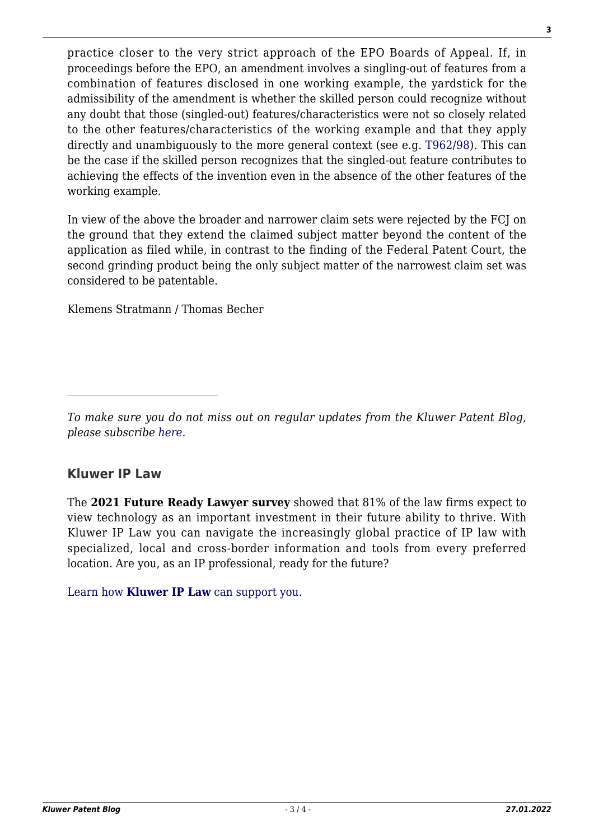practice closer to the very strict approach of the EPO Boards of Appeal. If, in proceedings before the EPO, an amendment involves a singling-out of features from a combination of features disclosed in one working example, the yardstick for the admissibility of the amendment is whether the skilled person could recognize without any doubt that those (singled-out) features/characteristics were not so closely related to the other features/characteristics of the working example and that they apply directly and unambiguously to the more general context (see e.g. [T962/98\)](http://www.epo.org/law-practice/case-law-appeals/recent/t980962eu1.html#q=). This can be the case if the skilled person recognizes that the singled-out feature contributes to achieving the effects of the invention even in the absence of the other features of the working example.

In view of the above the broader and narrower claim sets were rejected by the FCJ on the ground that they extend the claimed subject matter beyond the content of the application as filed while, in contrast to the finding of the Federal Patent Court, the second grinding product being the only subject matter of the narrowest claim set was considered to be patentable.

Klemens Stratmann / Thomas Becher

## **Kluwer IP Law**

The **2021 Future Ready Lawyer survey** showed that 81% of the law firms expect to view technology as an important investment in their future ability to thrive. With Kluwer IP Law you can navigate the increasingly global practice of IP law with specialized, local and cross-border information and tools from every preferred location. Are you, as an IP professional, ready for the future?

[Learn how](https://www.wolterskluwer.com/en/solutions/kluweriplaw?utm_source=patentblog&utm_medium=articleCTA&utm_campaign=article-banner) **[Kluwer IP Law](https://www.wolterskluwer.com/en/solutions/kluweriplaw?utm_source=patentblog&utm_medium=articleCTA&utm_campaign=article-banner)** [can support you.](https://www.wolterskluwer.com/en/solutions/kluweriplaw?utm_source=patentblog&utm_medium=articleCTA&utm_campaign=article-banner)

*To make sure you do not miss out on regular updates from the Kluwer Patent Blog, please subscribe [here.](http://patentblog.kluweriplaw.com/newsletter)*